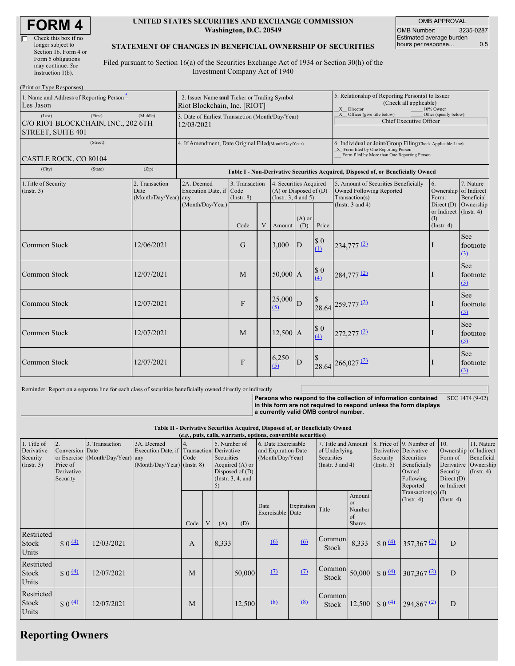| <b>FORM4</b> |
|--------------|
|--------------|

| Check this box if no  |
|-----------------------|
| longer subject to     |
| Section 16. Form 4 or |
| Form 5 obligations    |
| may continue. See     |
| Instruction 1(b).     |
|                       |

#### **UNITED STATES SECURITIES AND EXCHANGE COMMISSION Washington, D.C. 20549**

OMB APPROVAL OMB Number: 3235-0287 Estimated average burden hours per response... 0.5

#### **STATEMENT OF CHANGES IN BENEFICIAL OWNERSHIP OF SECURITIES**

Filed pursuant to Section 16(a) of the Securities Exchange Act of 1934 or Section 30(h) of the Investment Company Act of 1940

| (Print or Type Responses)                                                                       |  |                                                |                                                                                  |                                   |   |                                                                                  |                 |                                                           |                                                                                                                                                    |                                                   |                                                               |  |
|-------------------------------------------------------------------------------------------------|--|------------------------------------------------|----------------------------------------------------------------------------------|-----------------------------------|---|----------------------------------------------------------------------------------|-----------------|-----------------------------------------------------------|----------------------------------------------------------------------------------------------------------------------------------------------------|---------------------------------------------------|---------------------------------------------------------------|--|
| 1. Name and Address of Reporting Person-<br>Les Jason                                           |  |                                                | 2. Issuer Name and Ticker or Trading Symbol<br>Riot Blockchain, Inc. [RIOT]      |                                   |   |                                                                                  |                 |                                                           | 5. Relationship of Reporting Person(s) to Issuer<br>(Check all applicable)<br>X Director<br>10% Owner                                              |                                                   |                                                               |  |
| (First)<br>(Middle)<br>(Last)<br>C/O RIOT BLOCKCHAIN, INC., 202 6TH<br><b>STREET, SUITE 401</b> |  |                                                | 3. Date of Earliest Transaction (Month/Day/Year)<br>12/03/2021                   |                                   |   |                                                                                  |                 | $X$ Officer (give title below)<br>Chief Executive Officer | Other (specify below)                                                                                                                              |                                                   |                                                               |  |
| (Street)<br>CASTLE ROCK, CO 80104                                                               |  |                                                | 4. If Amendment, Date Original Filed(Month/Day/Year)                             |                                   |   |                                                                                  |                 |                                                           | 6. Individual or Joint/Group Filing(Check Applicable Line)<br>X Form filed by One Reporting Person<br>Form filed by More than One Reporting Person |                                                   |                                                               |  |
| (Zip)<br>(City)<br>(State)                                                                      |  |                                                | Table I - Non-Derivative Securities Acquired, Disposed of, or Beneficially Owned |                                   |   |                                                                                  |                 |                                                           |                                                                                                                                                    |                                                   |                                                               |  |
| 1. Title of Security<br>(Insert. 3)                                                             |  | 2. Transaction<br>Date<br>(Month/Day/Year) any | 2A. Deemed<br>Execution Date, if Code<br>(Month/Day/Year)                        | 3. Transaction<br>$($ Instr. $8)$ |   | 4. Securities Acquired<br>$(A)$ or Disposed of $(D)$<br>(Instr. $3, 4$ and $5$ ) |                 |                                                           | 5. Amount of Securities Beneficially<br>Owned Following Reported<br>Transaction(s)<br>(Instr. $3$ and $4$ )                                        | 6.<br>Form:<br>Direct (D)                         | 7. Nature<br>Ownership of Indirect<br>Beneficial<br>Ownership |  |
|                                                                                                 |  |                                                |                                                                                  | Code                              | V | Amount                                                                           | $(A)$ or<br>(D) | Price                                                     |                                                                                                                                                    | or Indirect (Instr. 4)<br>(1)<br>$($ Instr. 4 $)$ |                                                               |  |
| <b>Common Stock</b>                                                                             |  | 12/06/2021                                     |                                                                                  | G                                 |   | 3,000                                                                            | D               | \$0<br>(1)                                                | $234,777$ <sup>(2)</sup>                                                                                                                           | $\perp$                                           | <b>See</b><br>footnote<br>(3)                                 |  |
| Common Stock                                                                                    |  | 12/07/2021                                     |                                                                                  | M                                 |   | $50,000$ A                                                                       |                 | \$0<br>(4)                                                | $284,777$ <sup>(2)</sup>                                                                                                                           |                                                   | <b>See</b><br>footnote<br>(3)                                 |  |
| <b>Common Stock</b>                                                                             |  | 12/07/2021                                     |                                                                                  | F                                 |   | 25,000<br>(5)                                                                    | D               |                                                           | 28.64 259,777 (2)                                                                                                                                  |                                                   | <b>See</b><br>footnote<br>(3)                                 |  |
| Common Stock                                                                                    |  | 12/07/2021                                     |                                                                                  | M                                 |   | $12,500$ A                                                                       |                 | \$0<br>(4)                                                | $272,277$ <sup>(2)</sup>                                                                                                                           |                                                   | See<br>footntoe<br>(3)                                        |  |
| <b>Common Stock</b>                                                                             |  | 12/07/2021                                     |                                                                                  | F                                 |   | 6,250<br>(5)                                                                     | D               |                                                           | 28.64 266,027 (2)                                                                                                                                  |                                                   | <b>See</b><br>footnote<br>(3)                                 |  |

Reminder: Report on a separate line for each class of securities beneficially owned directly or indirectly.

**Persons who respond to the collection of information contained in this form are not required to respond unless the form displays a currently valid OMB control number.** SEC 1474 (9-02)

**Table II - Derivative Securities Acquired, Disposed of, or Beneficially Owned**

| (e.g., puts, calls, warrants, options, convertible securities) |                                                             |                                                    |                                                                                          |            |  |                            |                                                                |                                                                                                                                               |            |                        |                                                                                                                                                   |                    |                                                            |                                                                                            |  |
|----------------------------------------------------------------|-------------------------------------------------------------|----------------------------------------------------|------------------------------------------------------------------------------------------|------------|--|----------------------------|----------------------------------------------------------------|-----------------------------------------------------------------------------------------------------------------------------------------------|------------|------------------------|---------------------------------------------------------------------------------------------------------------------------------------------------|--------------------|------------------------------------------------------------|--------------------------------------------------------------------------------------------|--|
| 1. Title of<br>Derivative<br>Security<br>(Insert. 3)           | 2.<br>Conversion Date<br>Price of<br>Derivative<br>Security | 3. Transaction<br>or Exercise (Month/Day/Year) any | 3A. Deemed<br>Execution Date, if Transaction Derivative<br>$(Month/Day/Year)$ (Instr. 8) | 4.<br>Code |  | 5. Number of<br>Securities | Acquired $(A)$ or<br>Disposed of $(D)$<br>(Instr. $3, 4$ , and | 6. Date Exercisable<br>7. Title and Amount<br>and Expiration Date<br>of Underlying<br>(Month/Day/Year)<br>Securities<br>(Instr. $3$ and $4$ ) |            |                        | 8. Price of 9. Number of<br>Derivative Derivative<br>Security<br>Securities<br>Beneficially<br>$($ Instr. 5 $)$<br>Owned<br>Following<br>Reported |                    | 10.<br>Form of<br>Security:<br>Direct $(D)$<br>or Indirect | 11. Nature<br>Ownership of Indirect<br>Beneficial<br>Derivative Ownership<br>$($ Instr. 4) |  |
|                                                                |                                                             |                                                    |                                                                                          | Code       |  | (A)                        | (D)                                                            | Date<br>Exercisable Date                                                                                                                      | Expiration | Title                  | Amount<br><b>or</b><br>Number<br>of<br><b>Shares</b>                                                                                              |                    | $Transaction(s)$ (I)<br>$($ Instr. 4 $)$                   | $($ Instr. 4 $)$                                                                           |  |
| Restricted<br>Stock<br>Units                                   | $$0 \underline{4}$                                          | 12/03/2021                                         |                                                                                          | A          |  | 8,333                      |                                                                | 6                                                                                                                                             | (6)        | Common<br><b>Stock</b> | 8,333                                                                                                                                             | $$0 \frac{(4)}{2}$ | $357,367$ <sup>(2)</sup>                                   | D                                                                                          |  |
| Restricted<br>Stock<br>Units                                   | $$0 \underline{4}$                                          | 12/07/2021                                         |                                                                                          | M          |  |                            | 50,000                                                         | (7)                                                                                                                                           | (7)        | Common<br>Stock        | 50,000                                                                                                                                            | $$0 \underline{4}$ | $307,367$ <sup>(2)</sup>                                   | D                                                                                          |  |
| Restricted<br>Stock<br>Units                                   | $$0 \, 4)$                                                  | 12/07/2021                                         |                                                                                          | M          |  |                            | 12,500                                                         | (8)                                                                                                                                           | (8)        | Common<br>Stock        | 12,500                                                                                                                                            | \$0 <sup>(4)</sup> | $294,867$ <sup>(2)</sup>                                   | D                                                                                          |  |

# **Reporting Owners**